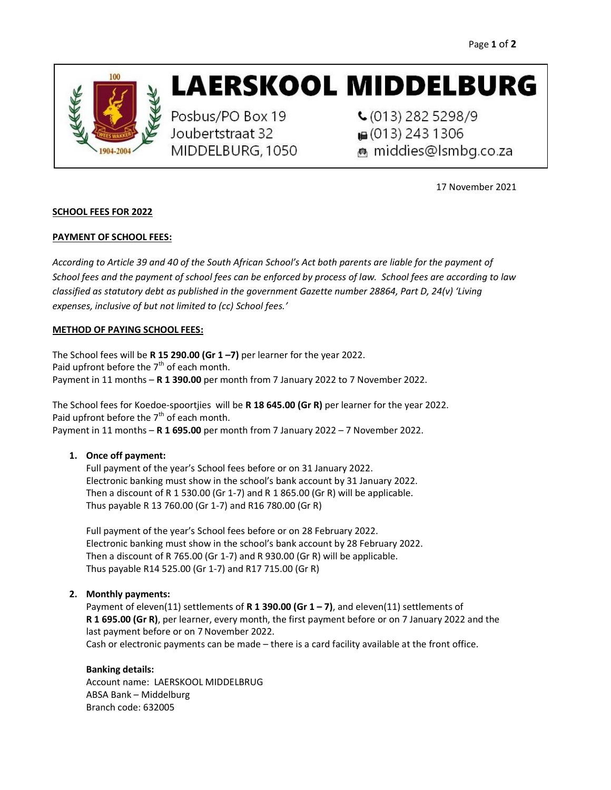

# **LAERSKOOL MIDDELBURG**

Posbus/PO Box 19 Joubertstraat 32 MIDDELBURG, 1050  $C(013)$  282 5298/9 ■ (013) 243 1306 middies@Ismbg.co.za

17 November 2021

# SCHOOL FEES FOR 2022

# PAYMENT OF SCHOOL FEES:

According to Article 39 and 40 of the South African School's Act both parents are liable for the payment of School fees and the payment of school fees can be enforced by process of law. School fees are according to law classified as statutory debt as published in the government Gazette number 28864, Part D, 24(v) 'Living expenses, inclusive of but not limited to (cc) School fees.'

# METHOD OF PAYING SCHOOL FEES:

The School fees will be R 15 290.00 (Gr  $1 - 7$ ) per learner for the year 2022. Paid upfront before the  $7<sup>th</sup>$  of each month. Payment in 11 months - R 1 390.00 per month from 7 January 2022 to 7 November 2022.

The School fees for Koedoe-spoortjies will be R 18 645.00 (Gr R) per learner for the year 2022. Paid upfront before the  $7<sup>th</sup>$  of each month. Payment in 11 months  $-$  R 1 695.00 per month from 7 January 2022 – 7 November 2022.

#### 1. Once off payment:

Full payment of the year's School fees before or on 31 January 2022. Electronic banking must show in the school's bank account by 31 January 2022. Then a discount of R 1 530.00 (Gr 1-7) and R 1 865.00 (Gr R) will be applicable. Thus payable R 13 760.00 (Gr 1-7) and R16 780.00 (Gr R)

Full payment of the year's School fees before or on 28 February 2022. Electronic banking must show in the school's bank account by 28 February 2022. Then a discount of R 765.00 (Gr 1-7) and R 930.00 (Gr R) will be applicable. Thus payable R14 525.00 (Gr 1-7) and R17 715.00 (Gr R)

# 2. Monthly payments:

Payment of eleven(11) settlements of R 1 390.00 (Gr 1 – 7), and eleven(11) settlements of R 1 695.00 (Gr R), per learner, every month, the first payment before or on 7 January 2022 and the last payment before or on 7November 2022. Cash or electronic payments can be made – there is a card facility available at the front office.

#### Banking details:

Account name: LAERSKOOL MIDDELBRUG ABSA Bank – Middelburg Branch code: 632005